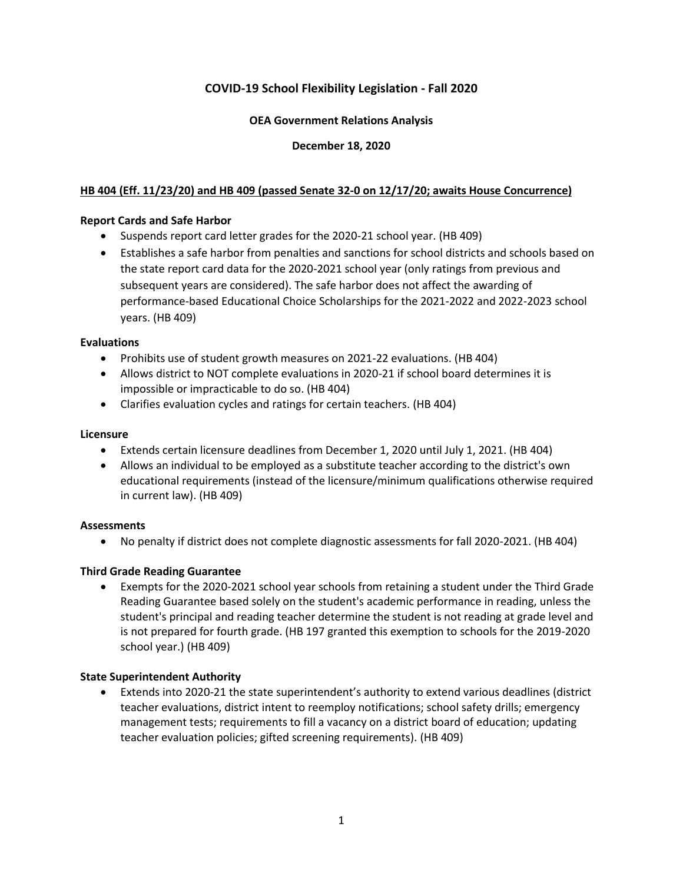# **COVID-19 School Flexibility Legislation - Fall 2020**

## **OEA Government Relations Analysis**

## **December 18, 2020**

## **HB 404 (Eff. 11/23/20) and HB 409 (passed Senate 32-0 on 12/17/20; awaits House Concurrence)**

#### **Report Cards and Safe Harbor**

- Suspends report card letter grades for the 2020-21 school year. (HB 409)
- Establishes a safe harbor from penalties and sanctions for school districts and schools based on the state report card data for the 2020-2021 school year (only ratings from previous and subsequent years are considered). The safe harbor does not affect the awarding of performance-based Educational Choice Scholarships for the 2021-2022 and 2022-2023 school years. (HB 409)

#### **Evaluations**

- Prohibits use of student growth measures on 2021-22 evaluations. (HB 404)
- Allows district to NOT complete evaluations in 2020-21 if school board determines it is impossible or impracticable to do so. (HB 404)
- Clarifies evaluation cycles and ratings for certain teachers. (HB 404)

#### **Licensure**

- Extends certain licensure deadlines from December 1, 2020 until July 1, 2021. (HB 404)
- Allows an individual to be employed as a substitute teacher according to the district's own educational requirements (instead of the licensure/minimum qualifications otherwise required in current law). (HB 409)

#### **Assessments**

• No penalty if district does not complete diagnostic assessments for fall 2020-2021. (HB 404)

#### **Third Grade Reading Guarantee**

• Exempts for the 2020-2021 school year schools from retaining a student under the Third Grade Reading Guarantee based solely on the student's academic performance in reading, unless the student's principal and reading teacher determine the student is not reading at grade level and is not prepared for fourth grade. (HB 197 granted this exemption to schools for the 2019-2020 school year.) (HB 409)

#### **State Superintendent Authority**

• Extends into 2020-21 the state superintendent's authority to extend various deadlines (district teacher evaluations, district intent to reemploy notifications; school safety drills; emergency management tests; requirements to fill a vacancy on a district board of education; updating teacher evaluation policies; gifted screening requirements). (HB 409)